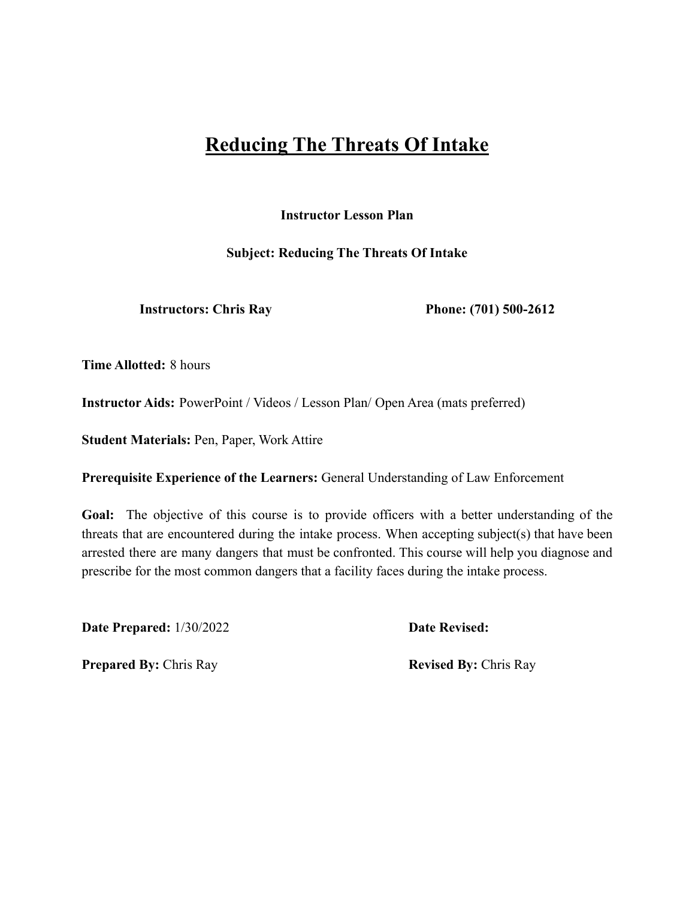# **Reducing The Threats Of Intake**

**Instructor Lesson Plan**

**Subject: Reducing The Threats Of Intake**

**Instructors: Chris Ray Phone: (701) 500-2612**

**Time Allotted:** 8 hours

**Instructor Aids:** PowerPoint / Videos / Lesson Plan/ Open Area (mats preferred)

**Student Materials:** Pen, Paper, Work Attire

**Prerequisite Experience of the Learners:** General Understanding of Law Enforcement

**Goal:** The objective of this course is to provide officers with a better understanding of the threats that are encountered during the intake process. When accepting subject(s) that have been arrested there are many dangers that must be confronted. This course will help you diagnose and prescribe for the most common dangers that a facility faces during the intake process.

**Date Prepared:** 1/30/2022 **Date Revised:**

**Prepared By:** Chris Ray **Revised By:** Chris Ray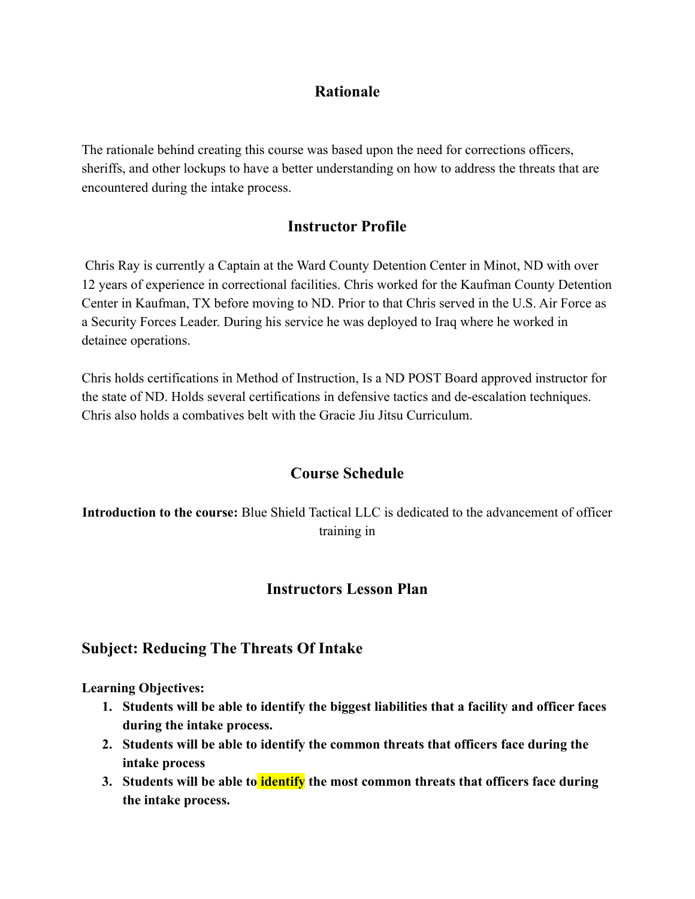### **Rationale**

The rationale behind creating this course was based upon the need for corrections officers, sheriffs, and other lockups to have a better understanding on how to address the threats that are encountered during the intake process.

# **Instructor Profile**

Chris Ray is currently a Captain at the Ward County Detention Center in Minot, ND with over 12 years of experience in correctional facilities. Chris worked for the Kaufman County Detention Center in Kaufman, TX before moving to ND. Prior to that Chris served in the U.S. Air Force as a Security Forces Leader. During his service he was deployed to Iraq where he worked in detainee operations.

Chris holds certifications in Method of Instruction, Is a ND POST Board approved instructor for the state of ND. Holds several certifications in defensive tactics and de-escalation techniques. Chris also holds a combatives belt with the Gracie Jiu Jitsu Curriculum.

# **Course Schedule**

**Introduction to the course:** Blue Shield Tactical LLC is dedicated to the advancement of officer training in

### **Instructors Lesson Plan**

### **Subject: Reducing The Threats Of Intake**

**Learning Objectives:**

- **1. Students will be able to identify the biggest liabilities that a facility and officer faces during the intake process.**
- **2. Students will be able to identify the common threats that officers face during the intake process**
- **3. Students will be able to identify the most common threats that officers face during the intake process.**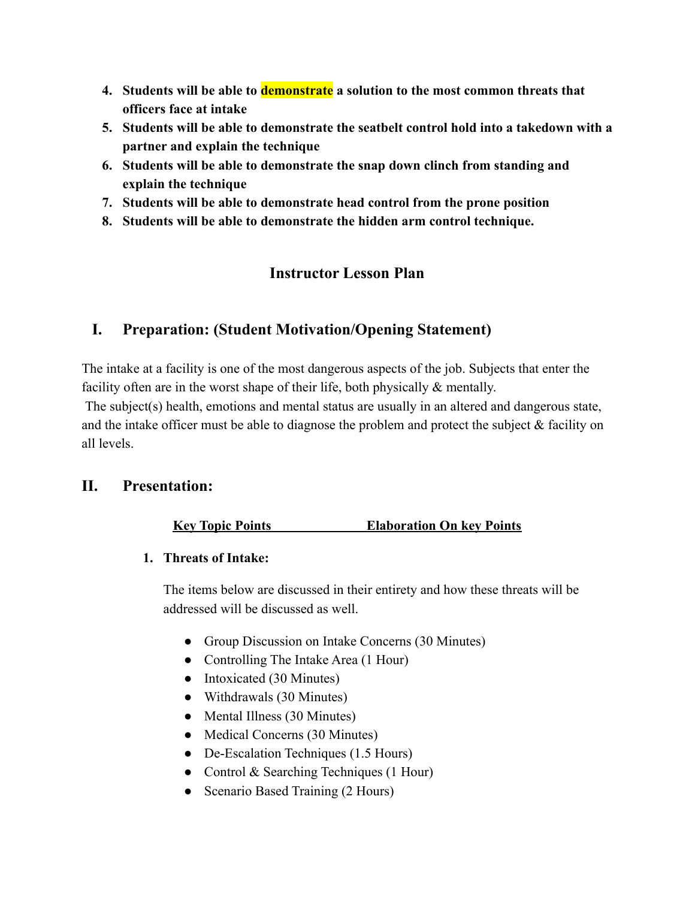- **4. Students will be able to demonstrate a solution to the most common threats that officers face at intake**
- **5. Students will be able to demonstrate the seatbelt control hold into a takedown with a partner and explain the technique**
- **6. Students will be able to demonstrate the snap down clinch from standing and explain the technique**
- **7. Students will be able to demonstrate head control from the prone position**
- **8. Students will be able to demonstrate the hidden arm control technique.**

# **Instructor Lesson Plan**

# **I. Preparation: (Student Motivation/Opening Statement)**

The intake at a facility is one of the most dangerous aspects of the job. Subjects that enter the facility often are in the worst shape of their life, both physically & mentally.

The subject(s) health, emotions and mental status are usually in an altered and dangerous state, and the intake officer must be able to diagnose the problem and protect the subject  $\&$  facility on all levels.

### **II. Presentation:**

#### **Key Topic Points Elaboration On key Points**

#### **1. Threats of Intake:**

The items below are discussed in their entirety and how these threats will be addressed will be discussed as well.

- Group Discussion on Intake Concerns (30 Minutes)
- Controlling The Intake Area (1 Hour)
- Intoxicated (30 Minutes)
- Withdrawals (30 Minutes)
- Mental Illness (30 Minutes)
- Medical Concerns (30 Minutes)
- De-Escalation Techniques (1.5 Hours)
- Control & Searching Techniques (1 Hour)
- Scenario Based Training (2 Hours)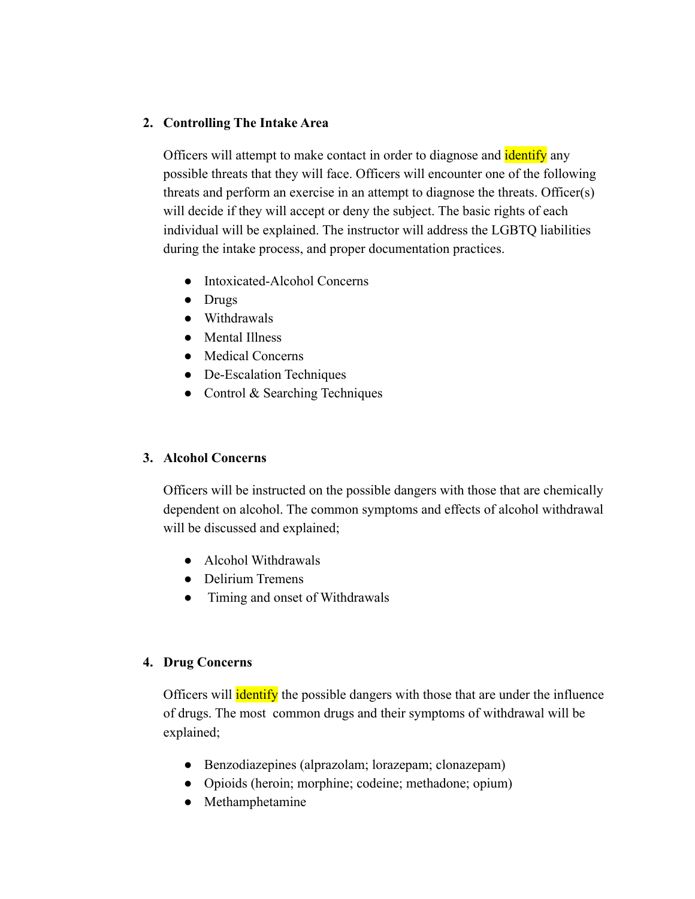#### **2. Controlling The Intake Area**

Officers will attempt to make contact in order to diagnose and **identify** any possible threats that they will face. Officers will encounter one of the following threats and perform an exercise in an attempt to diagnose the threats. Officer(s) will decide if they will accept or deny the subject. The basic rights of each individual will be explained. The instructor will address the LGBTQ liabilities during the intake process, and proper documentation practices.

- Intoxicated-Alcohol Concerns
- Drugs
- Withdrawals
- Mental Illness
- Medical Concerns
- De-Escalation Techniques
- Control & Searching Techniques

#### **3. Alcohol Concerns**

Officers will be instructed on the possible dangers with those that are chemically dependent on alcohol. The common symptoms and effects of alcohol withdrawal will be discussed and explained;

- Alcohol Withdrawals
- Delirium Tremens
- Timing and onset of Withdrawals

#### **4. Drug Concerns**

Officers will **identify** the possible dangers with those that are under the influence of drugs. The most common drugs and their symptoms of withdrawal will be explained;

- Benzodiazepines (alprazolam; lorazepam; clonazepam)
- Opioids (heroin; morphine; codeine; methadone; opium)
- Methamphetamine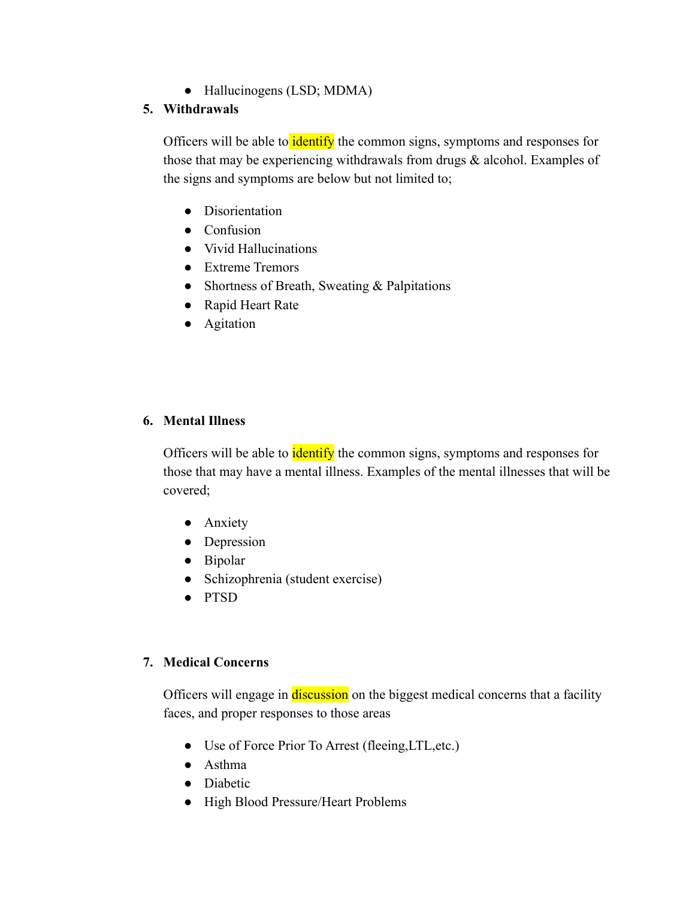● Hallucinogens (LSD; MDMA)

#### **5. Withdrawals**

Officers will be able to identify the common signs, symptoms and responses for those that may be experiencing withdrawals from drugs & alcohol. Examples of the signs and symptoms are below but not limited to;

- Disorientation
- Confusion
- Vivid Hallucinations
- Extreme Tremors
- Shortness of Breath, Sweating & Palpitations
- Rapid Heart Rate
- Agitation

#### **6. Mental Illness**

Officers will be able to **identify** the common signs, symptoms and responses for those that may have a mental illness. Examples of the mental illnesses that will be covered;

- Anxiety
- Depression
- Bipolar
- Schizophrenia (student exercise)
- PTSD

#### **7. Medical Concerns**

Officers will engage in discussion on the biggest medical concerns that a facility faces, and proper responses to those areas

- Use of Force Prior To Arrest (fleeing,LTL,etc.)
- Asthma
- Diabetic
- High Blood Pressure/Heart Problems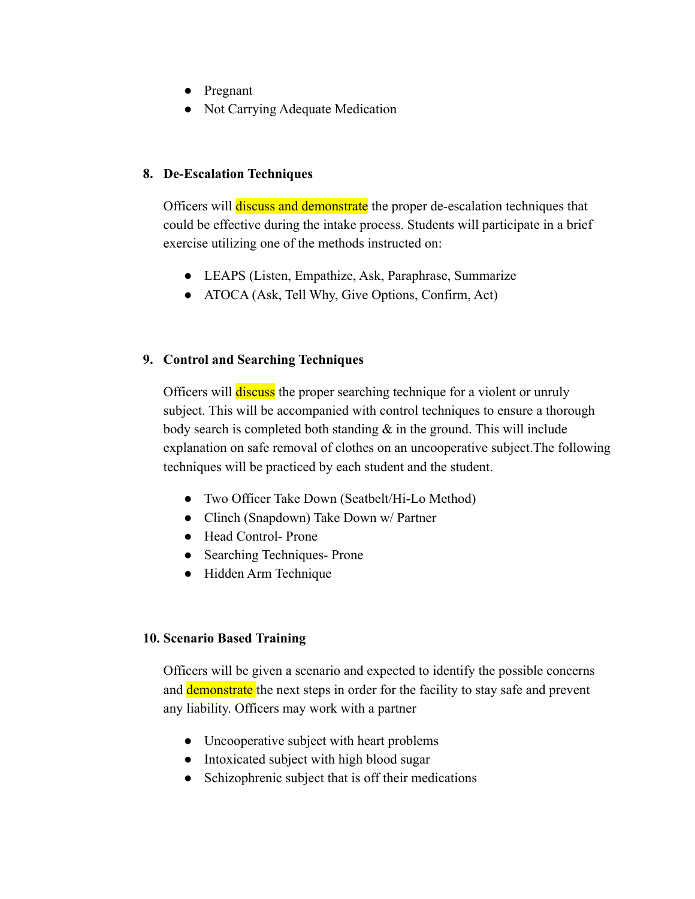- Pregnant
- Not Carrying Adequate Medication

#### **8. De-Escalation Techniques**

Officers will discuss and demonstrate the proper de-escalation techniques that could be effective during the intake process. Students will participate in a brief exercise utilizing one of the methods instructed on:

- LEAPS (Listen, Empathize, Ask, Paraphrase, Summarize
- ATOCA (Ask, Tell Why, Give Options, Confirm, Act)

#### **9. Control and Searching Techniques**

Officers will **discuss** the proper searching technique for a violent or unruly subject. This will be accompanied with control techniques to ensure a thorough body search is completed both standing  $\&$  in the ground. This will include explanation on safe removal of clothes on an uncooperative subject.The following techniques will be practiced by each student and the student.

- Two Officer Take Down (Seatbelt/Hi-Lo Method)
- Clinch (Snapdown) Take Down w/ Partner
- Head Control- Prone
- Searching Techniques- Prone
- Hidden Arm Technique

#### **10. Scenario Based Training**

Officers will be given a scenario and expected to identify the possible concerns and demonstrate the next steps in order for the facility to stay safe and prevent any liability. Officers may work with a partner

- Uncooperative subject with heart problems
- Intoxicated subject with high blood sugar
- Schizophrenic subject that is off their medications